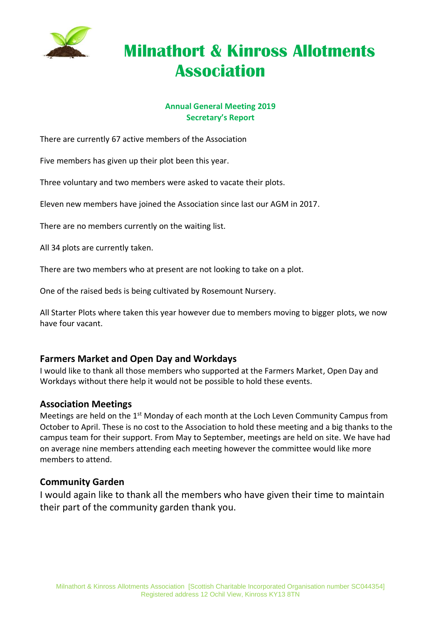

# **Milnathort & Kinross Allotments Association**

#### **Annual General Meeting 2019 Secretary's Report**

There are currently 67 active members of the Association

Five members has given up their plot been this year.

Three voluntary and two members were asked to vacate their plots.

Eleven new members have joined the Association since last our AGM in 2017.

There are no members currently on the waiting list.

All 34 plots are currently taken.

There are two members who at present are not looking to take on a plot.

One of the raised beds is being cultivated by Rosemount Nursery.

All Starter Plots where taken this year however due to members moving to bigger plots, we now have four vacant.

### **Farmers Market and Open Day and Workdays**

I would like to thank all those members who supported at the Farmers Market, Open Day and Workdays without there help it would not be possible to hold these events.

#### **Association Meetings**

Meetings are held on the 1<sup>st</sup> Monday of each month at the Loch Leven Community Campus from October to April. These is no cost to the Association to hold these meeting and a big thanks to the campus team for their support. From May to September, meetings are held on site. We have had on average nine members attending each meeting however the committee would like more members to attend.

#### **Community Garden**

I would again like to thank all the members who have given their time to maintain their part of the community garden thank you.